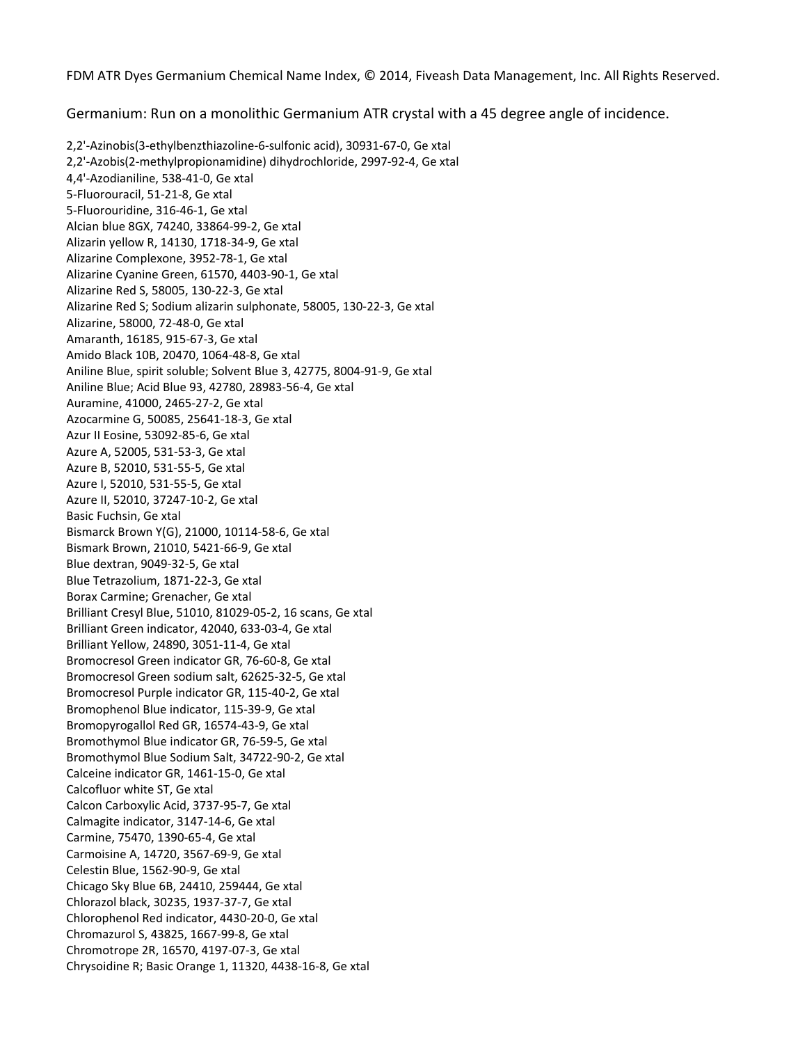FDM ATR Dyes Germanium Chemical Name Index, © 2014, Fiveash Data Management, Inc. All Rights Reserved.

Germanium: Run on a monolithic Germanium ATR crystal with a 45 degree angle of incidence.

2,2'‐Azinobis(3‐ethylbenzthiazoline‐6‐sulfonic acid), 30931‐67‐0, Ge xtal 2,2'‐Azobis(2‐methylpropionamidine) dihydrochloride, 2997‐92‐4, Ge xtal 4,4'‐Azodianiline, 538‐41‐0, Ge xtal 5‐Fluorouracil, 51‐21‐8, Ge xtal 5‐Fluorouridine, 316‐46‐1, Ge xtal Alcian blue 8GX, 74240, 33864‐99‐2, Ge xtal Alizarin yellow R, 14130, 1718‐34‐9, Ge xtal Alizarine Complexone, 3952‐78‐1, Ge xtal Alizarine Cyanine Green, 61570, 4403‐90‐1, Ge xtal Alizarine Red S, 58005, 130‐22‐3, Ge xtal Alizarine Red S; Sodium alizarin sulphonate, 58005, 130‐22‐3, Ge xtal Alizarine, 58000, 72‐48‐0, Ge xtal Amaranth, 16185, 915‐67‐3, Ge xtal Amido Black 10B, 20470, 1064‐48‐8, Ge xtal Aniline Blue, spirit soluble; Solvent Blue 3, 42775, 8004‐91‐9, Ge xtal Aniline Blue; Acid Blue 93, 42780, 28983‐56‐4, Ge xtal Auramine, 41000, 2465‐27‐2, Ge xtal Azocarmine G, 50085, 25641‐18‐3, Ge xtal Azur II Eosine, 53092‐85‐6, Ge xtal Azure A, 52005, 531‐53‐3, Ge xtal Azure B, 52010, 531‐55‐5, Ge xtal Azure I, 52010, 531‐55‐5, Ge xtal Azure II, 52010, 37247‐10‐2, Ge xtal Basic Fuchsin, Ge xtal Bismarck Brown Y(G), 21000, 10114‐58‐6, Ge xtal Bismark Brown, 21010, 5421‐66‐9, Ge xtal Blue dextran, 9049‐32‐5, Ge xtal Blue Tetrazolium, 1871‐22‐3, Ge xtal Borax Carmine; Grenacher, Ge xtal Brilliant Cresyl Blue, 51010, 81029‐05‐2, 16 scans, Ge xtal Bromocresol Green indicator GR, 76-60-8, Ge xtal Bromocresol Green sodium salt, 62625-32-5, Ge xtal Bromothymol Blue indicator GR, 76-59-5, Ge xtal Bromothymol Blue Sodium Salt, 34722-90-2, Ge xtal Calcon Carboxylic Acid, 3737-95-7, Ge xtal Carmoisine A, 14720, 3567-69-9, Ge xtal Chicago Sky Blue 6B, 24410, 259444, Ge xtal Chlorophenol Red indicator, 4430-20-0, Ge xtal l Chromotrope 2R, 16570, 4197‐07‐3, Ge xta Chrysoidine R; Basic Orange 1, 11320, 4438-16-8, Ge xtal Brilliant Green indicator, 42040, 633‐03‐4, Ge xtal Brilliant Yellow, 24890, 3051‐11‐4, Ge xtal Bromocresol Purple indicator GR, 115‐40‐2, Ge xtal Bromophenol Blue indicator, 115‐39‐9, Ge xtal Bromopyrogallol Red GR, 16574‐43‐9, Ge xtal Calceine indicator GR, 1461‐15‐0, Ge xtal Calcofluor white ST, Ge xtal Calmagite indicator, 3147‐14‐6, Ge xtal Carmine, 75470, 1390‐65‐4, Ge xtal Celestin Blue, 1562‐90‐9, Ge xtal Chlorazol black, 30235, 1937‐37‐7, Ge xtal Chromazurol S, 43825, 1667‐99‐8, Ge xtal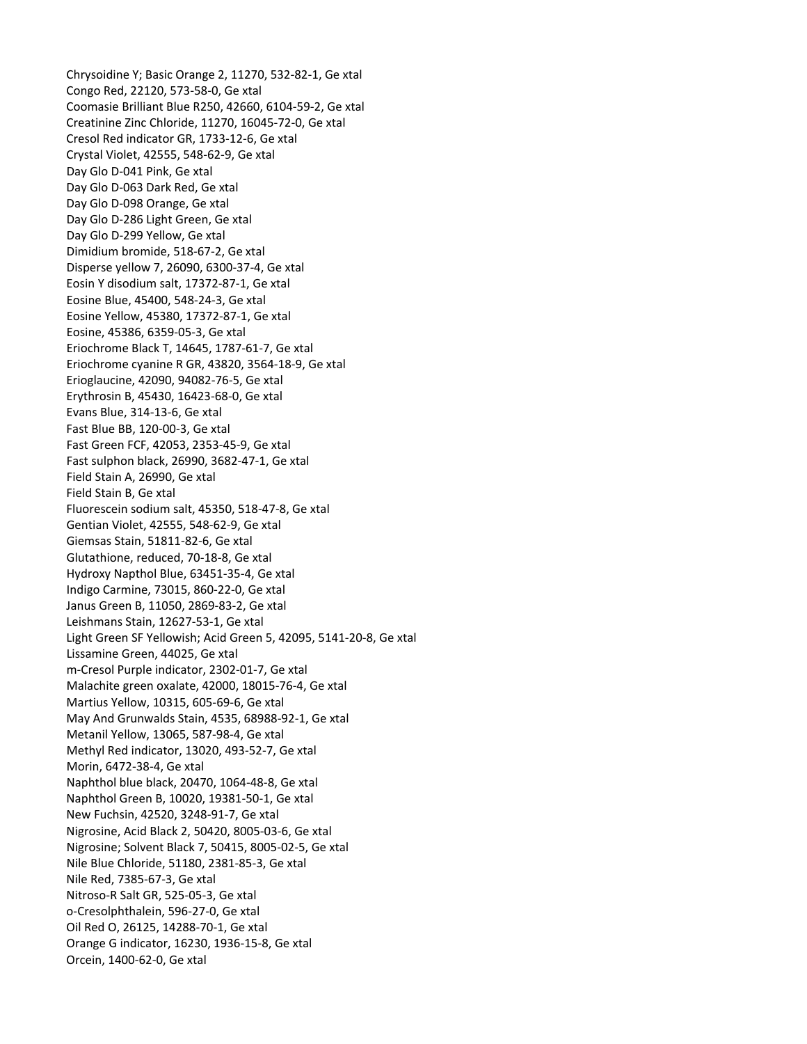Chrysoidine Y; Basic Orange 2, 11270, 532‐82‐1, Ge xtal Congo Red, 22120, 573‐58‐0, Ge xtal Coomasie Brilliant Blue R250, 42660, 6104‐59‐2, Ge xtal Day Glo D-063 Dark Red, Ge xtal Dimidium bromide, 518-67-2, Ge xtal Disperse yellow 7, 26090, 6300-37-4, Ge xtal Eosine Yellow, 45380, 17372-87-1, Ge xtal Eriochrome Black T, 14645, 1787-61-7, Ge xtal Eriochrome cyanine R GR, 43820, 3564-18-9, Ge xtal Fast Blue BB, 120-00-3, Ge xtal Fast Green FCF, 42053, 2353-45-9, Ge xtal Fast sulphon black, 26990, 3682-47-1, Ge xtal Fluorescein sodium salt, 45350, 518-47-8, Ge xtal Glutathione, reduced, 70-18-8, Ge xtal Light Green SF Yellowish; Acid Green 5, 42095, 5141-20-8, Ge xtal m-Cresol Purple indicator, 2302-01-7, Ge xtal Malachite green oxalate, 42000, 18015-76-4, Ge xtal May And Grunwalds Stain, 4535, 68988-92-1, Ge xtal Methyl Red indicator, 13020, 493-52-7, Ge xtal Naphthol blue black, 20470, 1064-48-8, Ge xtal Nigrosine, Acid Black 2, 50420, 8005-03-6, Ge xtal Nigrosine; Solvent Black 7, 50415, 8005-02-5, Ge xtal Nitroso-R Salt GR, 525-05-3, Ge xtal Orange G indicator, 16230, 1936-15-8, Ge xtal Creatinine Zinc Chloride, 11270, 16045‐72‐0, Ge xtal Cresol Red indicator GR, 1733‐12‐6, Ge xtal Crystal Violet, 42555, 548‐62‐9, Ge xtal Day Glo D‐041 Pink, Ge xtal Day Glo D‐098 Orange, Ge xtal Day Glo D‐286 Light Green, Ge xtal Day Glo D‐299 Yellow, Ge xtal Eosin Y disodium salt, 17372‐87‐1, Ge xtal Eosine Blue, 45400, 548‐24‐3, Ge xtal Eosine, 45386, 6359‐05‐3, Ge xtal Erioglaucine, 42090, 94082‐76‐5, Ge xtal Erythrosin B, 45430, 16423‐68‐0, Ge xtal Evans Blue, 314‐13‐6, Ge xtal Field Stain A, 26990, Ge xtal Field Stain B, Ge xtal Gentian Violet, 42555, 548‐62‐9, Ge xtal Giemsas Stain, 51811‐82‐6, Ge xtal Hydroxy Napthol Blue, 63451‐35‐4, Ge xtal Indigo Carmine, 73015, 860‐22‐0, Ge xtal Janus Green B, 11050, 2869‐83‐2, Ge xtal Leishmans Stain, 12627‐53‐1, Ge xtal Lissamine Green, 44025, Ge xtal Martius Yellow, 10315, 605‐69‐6, Ge xtal Metanil Yellow, 13065, 587‐98‐4, Ge xtal Morin, 6472‐38‐4, Ge xtal Naphthol Green B, 10020, 19381‐50‐1, Ge xtal New Fuchsin, 42520, 3248‐91‐7, Ge xtal Nile Blue Chloride, 51180, 2381‐85‐3, Ge xtal Nile Red, 7385‐67‐3, Ge xtal o‐Cresolphthalein, 596‐27‐0, Ge xtal Oil Red O, 26125, 14288‐70‐1, Ge xtal Orcein, 1400‐62‐0, Ge xtal